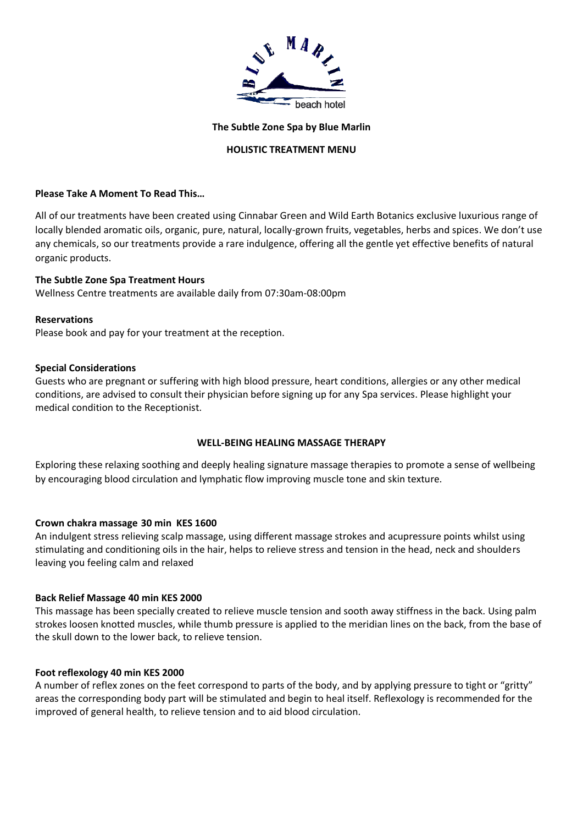

#### **The Subtle Zone Spa by Blue Marlin**

### **HOLISTIC TREATMENT MENU**

### **Please Take A Moment To Read This…**

All of our treatments have been created using Cinnabar Green and Wild Earth Botanics exclusive luxurious range of locally blended aromatic oils, organic, pure, natural, locally-grown fruits, vegetables, herbs and spices. We don't use any chemicals, so our treatments provide a rare indulgence, offering all the gentle yet effective benefits of natural organic products.

#### **The Subtle Zone Spa Treatment Hours**

Wellness Centre treatments are available daily from 07:30am-08:00pm

#### **Reservations**

Please book and pay for your treatment at the reception.

#### **Special Considerations**

Guests who are pregnant or suffering with high blood pressure, heart conditions, allergies or any other medical conditions, are advised to consult their physician before signing up for any Spa services. Please highlight your medical condition to the Receptionist.

### **WELL-BEING HEALING MASSAGE THERAPY**

Exploring these relaxing soothing and deeply healing signature massage therapies to promote a sense of wellbeing by encouraging blood circulation and lymphatic flow improving muscle tone and skin texture.

### **Crown chakra massage 30 min KES 1600**

An indulgent stress relieving scalp massage, using different massage strokes and acupressure points whilst using stimulating and conditioning oils in the hair, helps to relieve stress and tension in the head, neck and shoulders leaving you feeling calm and relaxed

### **Back Relief Massage 40 min KES 2000**

This massage has been specially created to relieve muscle tension and sooth away stiffness in the back. Using palm strokes loosen knotted muscles, while thumb pressure is applied to the meridian lines on the back, from the base of the skull down to the lower back, to relieve tension.

### **Foot reflexology 40 min KES 2000**

A number of reflex zones on the feet correspond to parts of the body, and by applying pressure to tight or "gritty" areas the corresponding body part will be stimulated and begin to heal itself. Reflexology is recommended for the improved of general health, to relieve tension and to aid blood circulation.